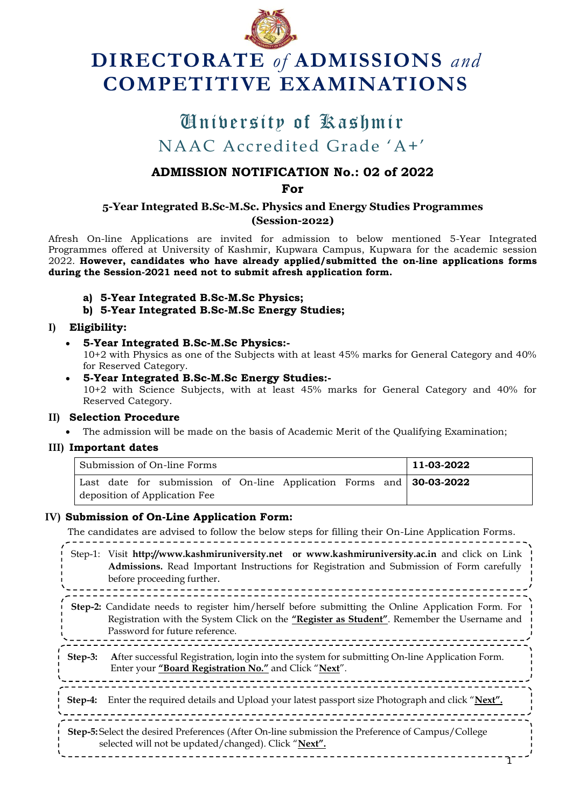

# **DIRECTORATE** *of* **ADMISSIONS** *and* **COMPETITIVE EXAMINATIONS**

## University of Kashmir University of KashmirNAAC Accredited Grade "A+"

### **ADMISSION NOTIFICATION No.: 02 of 2022**

**For**

#### **5-Year Integrated B.Sc-M.Sc. Physics and Energy Studies Programmes (Session-2022)**

Afresh On-line Applications are invited for admission to below mentioned 5-Year Integrated Programmes offered at University of Kashmir, Kupwara Campus, Kupwara for the academic session 2022. **However, candidates who have already applied/submitted the on-line applications forms during the Session-2021 need not to submit afresh application form.**

- **a) 5-Year Integrated B.Sc-M.Sc Physics;**
- **b) 5-Year Integrated B.Sc-M.Sc Energy Studies;**

#### **I) Eligibility:**

**5-Year Integrated B.Sc-M.Sc Physics:-**

10+2 with Physics as one of the Subjects with at least 45% marks for General Category and 40% for Reserved Category.

 **5-Year Integrated B.Sc-M.Sc Energy Studies:-** 10+2 with Science Subjects, with at least 45% marks for General Category and 40% for Reserved Category.

#### **II) Selection Procedure**

The admission will be made on the basis of Academic Merit of the Qualifying Examination;

#### **III) Important dates**

| l Submission of On-line Forms |  |  |  |  |  |  |  |  | 11-03-2022                                                             |
|-------------------------------|--|--|--|--|--|--|--|--|------------------------------------------------------------------------|
|                               |  |  |  |  |  |  |  |  | Last date for submission of On-line Application Forms and $30-03-2022$ |
| deposition of Application Fee |  |  |  |  |  |  |  |  |                                                                        |

#### **IV) Submission of On-Line Application Form:**

The candidates are advised to follow the below steps for filling their On-Line Application Forms.

Step-1: Visit **[http://www.kashmiruniversity.net](http://www.kashmiruniversity.net/) or [www.kashmiruniversity.ac.in](http://www.kashmiruniversity.ac.in/)** and click on Link **Admissions.** Read Important Instructions for Registration and Submission of Form carefully before proceeding further. **Step-2:** Candidate needs to register him/herself before submitting the Online Application Form. For

- Registration with the System Click on the **"Register as Student"**. Remember the Username and Password for future reference.
- **Step-3: A**fter successful Registration, login into the system for submitting On-line Application Form. Enter your **"Board Registration No."** and Click "**Next**".

**Step-4:** Enter the required details and Upload your latest passport size Photograph and click "**Next".**

\_\_\_\_\_\_\_\_\_\_\_\_\_\_\_\_\_\_\_\_\_\_\_\_\_\_\_\_\_\_\_\_

**Step-5:** Select the desired Preferences (After On-line submission the Preference of Campus/College selected will not be updated/changed). Click "**Next".**